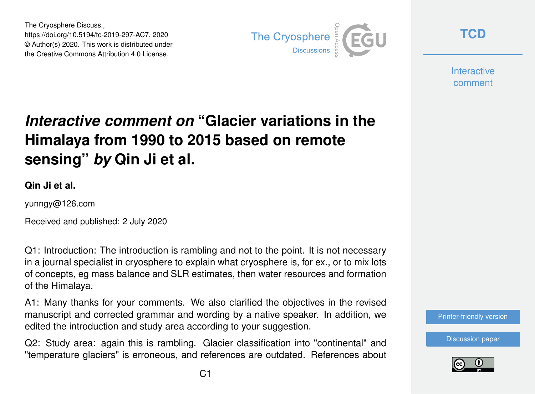The Cryosphere Discuss., https://doi.org/10.5194/tc-2019-297-AC7, 2020 © Author(s) 2020. This work is distributed under the Creative Commons Attribution 4.0 License.



**[TCD](https://tc.copernicus.org/preprints/)**

**Interactive** comment

## *Interactive comment on* **"Glacier variations in the Himalaya from 1990 to 2015 based on remote sensing"** *by* **Qin Ji et al.**

**Qin Ji et al.**

yunngy@126.com

Received and published: 2 July 2020

Q1: Introduction: The introduction is rambling and not to the point. It is not necessary in a journal specialist in cryosphere to explain what cryosphere is, for ex., or to mix lots of concepts, eg mass balance and SLR estimates, then water resources and formation of the Himalaya.

A1: Many thanks for your comments. We also clarified the objectives in the revised manuscript and corrected grammar and wording by a native speaker. In addition, we edited the introduction and study area according to your suggestion.

Q2: Study area: again this is rambling. Glacier classification into "continental" and "temperature glaciers" is erroneous, and references are outdated. References about



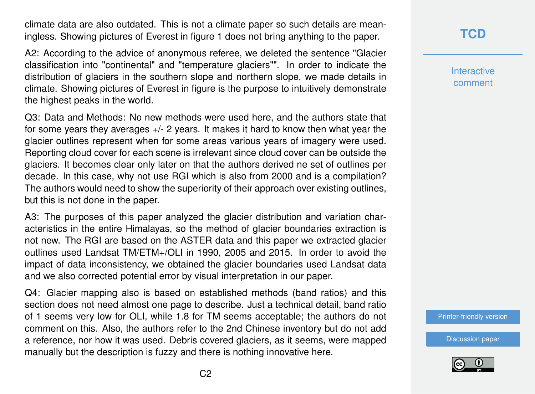climate data are also outdated. This is not a climate paper so such details are meaningless. Showing pictures of Everest in figure 1 does not bring anything to the paper.

A2: According to the advice of anonymous referee, we deleted the sentence "Glacier classification into "continental" and "temperature glaciers"". In order to indicate the distribution of glaciers in the southern slope and northern slope, we made details in climate. Showing pictures of Everest in figure is the purpose to intuitively demonstrate the highest peaks in the world.

Q3: Data and Methods: No new methods were used here, and the authors state that for some years they averages  $+/-$  2 years. It makes it hard to know then what year the glacier outlines represent when for some areas various years of imagery were used. Reporting cloud cover for each scene is irrelevant since cloud cover can be outside the glaciers. It becomes clear only later on that the authors derived ne set of outlines per decade. In this case, why not use RGI which is also from 2000 and is a compilation? The authors would need to show the superiority of their approach over existing outlines, but this is not done in the paper.

A3: The purposes of this paper analyzed the glacier distribution and variation characteristics in the entire Himalayas, so the method of glacier boundaries extraction is not new. The RGI are based on the ASTER data and this paper we extracted glacier outlines used Landsat TM/ETM+/OLI in 1990, 2005 and 2015. In order to avoid the impact of data inconsistency, we obtained the glacier boundaries used Landsat data and we also corrected potential error by visual interpretation in our paper.

Q4: Glacier mapping also is based on established methods (band ratios) and this section does not need almost one page to describe. Just a technical detail, band ratio of 1 seems very low for OLI, while 1.8 for TM seems acceptable; the authors do not comment on this. Also, the authors refer to the 2nd Chinese inventory but do not add a reference, nor how it was used. Debris covered glaciers, as it seems, were mapped manually but the description is fuzzy and there is nothing innovative here.

**[TCD](https://tc.copernicus.org/preprints/)**

**Interactive** comment

[Printer-friendly version](https://tc.copernicus.org/preprints/tc-2019-297/tc-2019-297-AC7-print.pdf)

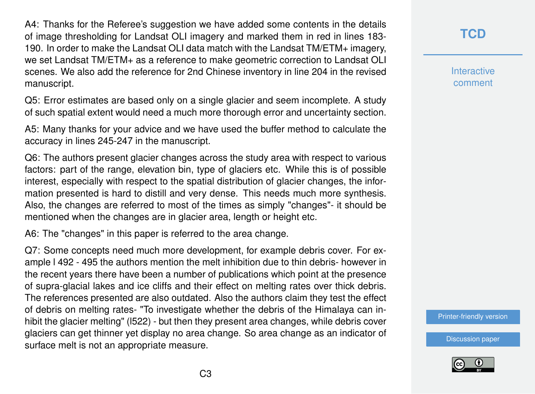A4: Thanks for the Referee's suggestion we have added some contents in the details of image thresholding for Landsat OLI imagery and marked them in red in lines 183- 190. In order to make the Landsat OLI data match with the Landsat TM/ETM+ imagery, we set Landsat TM/ETM+ as a reference to make geometric correction to Landsat OLI scenes. We also add the reference for 2nd Chinese inventory in line 204 in the revised manuscript.

Q5: Error estimates are based only on a single glacier and seem incomplete. A study of such spatial extent would need a much more thorough error and uncertainty section.

A5: Many thanks for your advice and we have used the buffer method to calculate the accuracy in lines 245-247 in the manuscript.

Q6: The authors present glacier changes across the study area with respect to various factors: part of the range, elevation bin, type of glaciers etc. While this is of possible interest, especially with respect to the spatial distribution of glacier changes, the information presented is hard to distill and very dense. This needs much more synthesis. Also, the changes are referred to most of the times as simply "changes"- it should be mentioned when the changes are in glacier area, length or height etc.

A6: The "changes" in this paper is referred to the area change.

Q7: Some concepts need much more development, for example debris cover. For example l 492 - 495 the authors mention the melt inhibition due to thin debris- however in the recent years there have been a number of publications which point at the presence of supra-glacial lakes and ice cliffs and their effect on melting rates over thick debris. The references presented are also outdated. Also the authors claim they test the effect of debris on melting rates- "To investigate whether the debris of the Himalaya can inhibit the glacier melting" (l522) - but then they present area changes, while debris cover glaciers can get thinner yet display no area change. So area change as an indicator of surface melt is not an appropriate measure.

**[TCD](https://tc.copernicus.org/preprints/)**

**Interactive** comment

[Printer-friendly version](https://tc.copernicus.org/preprints/tc-2019-297/tc-2019-297-AC7-print.pdf)